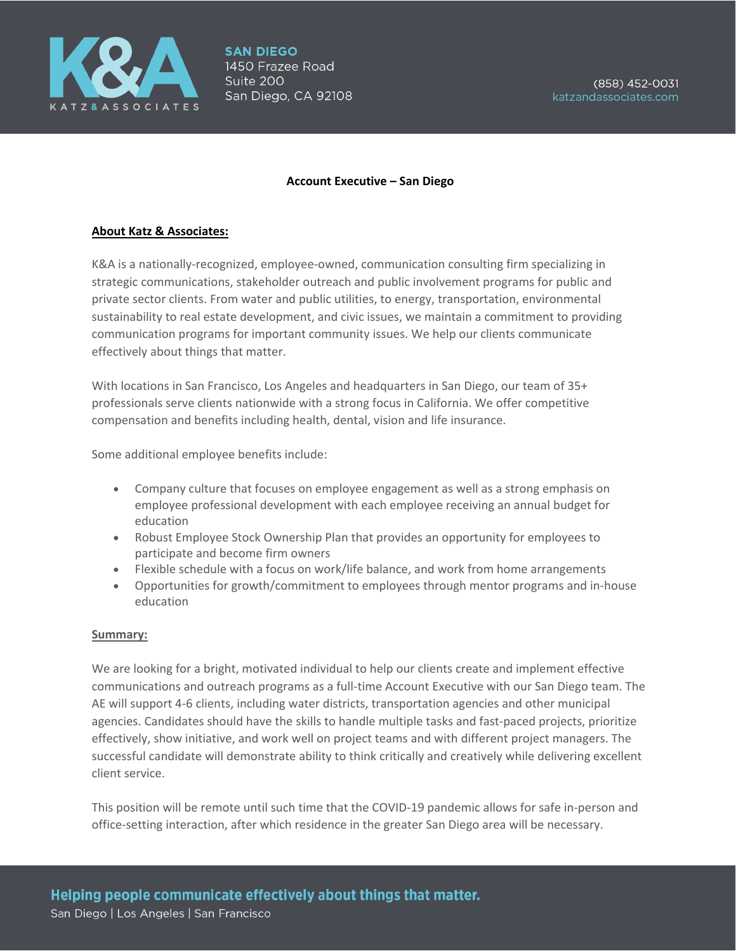

# **Account Executive – San Diego**

# **About Katz & Associates:**

K&A is a nationally-recognized, employee-owned, communication consulting firm specializing in strategic communications, stakeholder outreach and public involvement programs for public and private sector clients. From water and public utilities, to energy, transportation, environmental sustainability to real estate development, and civic issues, we maintain a commitment to providing communication programs for important community issues. We help our clients communicate effectively about things that matter.

With locations in San Francisco, Los Angeles and headquarters in San Diego, our team of 35+ professionals serve clients nationwide with a strong focus in California. We offer competitive compensation and benefits including health, dental, vision and life insurance.

Some additional employee benefits include:

- Company culture that focuses on employee engagement as well as a strong emphasis on employee professional development with each employee receiving an annual budget for education
- Robust Employee Stock Ownership Plan that provides an opportunity for employees to participate and become firm owners
- Flexible schedule with a focus on work/life balance, and work from home arrangements
- Opportunities for growth/commitment to employees through mentor programs and in-house education

## **Summary:**

We are looking for a bright, motivated individual to help our clients create and implement effective communications and outreach programs as a full-time Account Executive with our San Diego team. The AE will support 4-6 clients, including water districts, transportation agencies and other municipal agencies. Candidates should have the skills to handle multiple tasks and fast-paced projects, prioritize effectively, show initiative, and work well on project teams and with different project managers. The successful candidate will demonstrate ability to think critically and creatively while delivering excellent client service.

This position will be remote until such time that the COVID-19 pandemic allows for safe in-person and office-setting interaction, after which residence in the greater San Diego area will be necessary.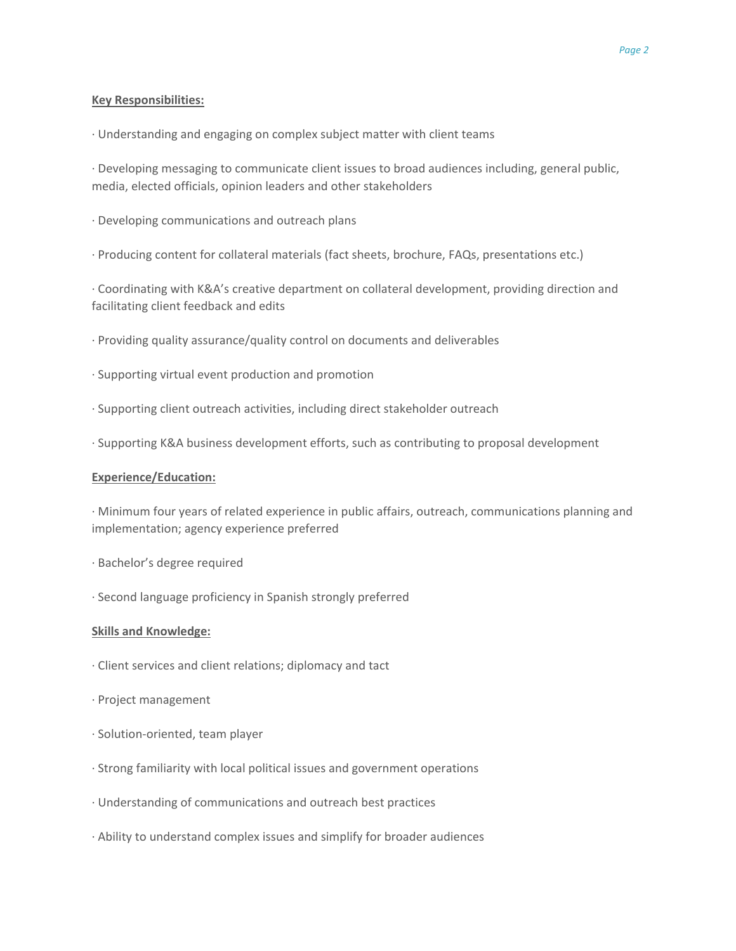## **Key Responsibilities:**

· Understanding and engaging on complex subject matter with client teams

· Developing messaging to communicate client issues to broad audiences including, general public, media, elected officials, opinion leaders and other stakeholders

- · Developing communications and outreach plans
- · Producing content for collateral materials (fact sheets, brochure, FAQs, presentations etc.)

· Coordinating with K&A's creative department on collateral development, providing direction and facilitating client feedback and edits

- · Providing quality assurance/quality control on documents and deliverables
- · Supporting virtual event production and promotion
- · Supporting client outreach activities, including direct stakeholder outreach
- · Supporting K&A business development efforts, such as contributing to proposal development

### **Experience/Education:**

· Minimum four years of related experience in public affairs, outreach, communications planning and implementation; agency experience preferred

- · Bachelor's degree required
- · Second language proficiency in Spanish strongly preferred

#### **Skills and Knowledge:**

- · Client services and client relations; diplomacy and tact
- · Project management
- · Solution-oriented, team player
- · Strong familiarity with local political issues and government operations
- · Understanding of communications and outreach best practices
- · Ability to understand complex issues and simplify for broader audiences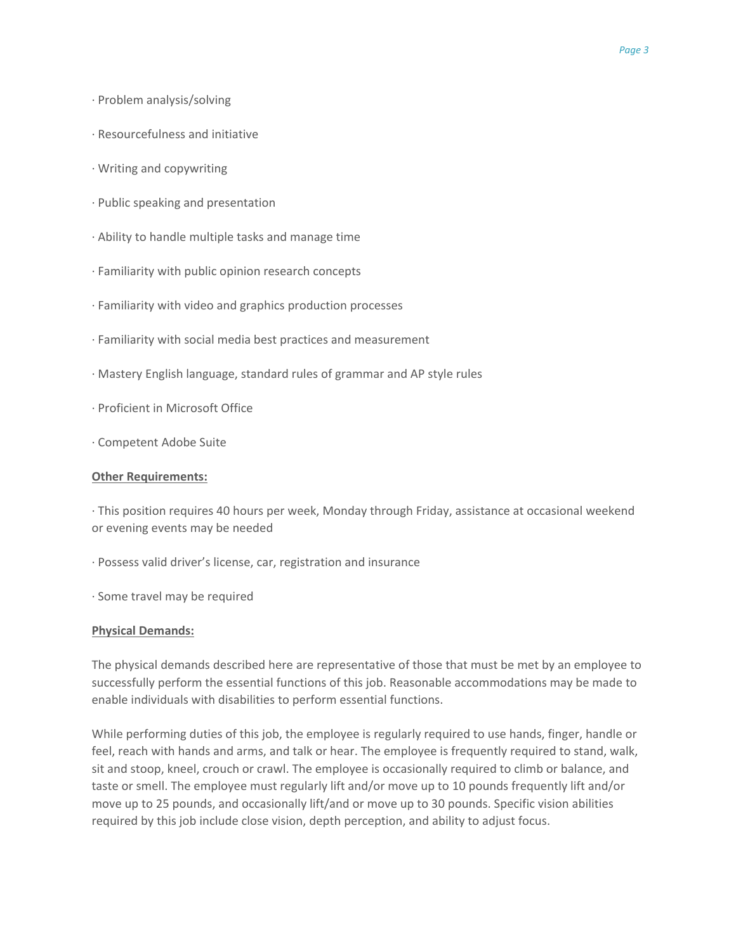- · Problem analysis/solving
- · Resourcefulness and initiative
- · Writing and copywriting
- · Public speaking and presentation
- · Ability to handle multiple tasks and manage time
- · Familiarity with public opinion research concepts
- · Familiarity with video and graphics production processes
- · Familiarity with social media best practices and measurement
- · Mastery English language, standard rules of grammar and AP style rules
- · Proficient in Microsoft Office
- · Competent Adobe Suite

### **Other Requirements:**

· This position requires 40 hours per week, Monday through Friday, assistance at occasional weekend or evening events may be needed

- · Possess valid driver's license, car, registration and insurance
- · Some travel may be required

#### **Physical Demands:**

The physical demands described here are representative of those that must be met by an employee to successfully perform the essential functions of this job. Reasonable accommodations may be made to enable individuals with disabilities to perform essential functions.

While performing duties of this job, the employee is regularly required to use hands, finger, handle or feel, reach with hands and arms, and talk or hear. The employee is frequently required to stand, walk, sit and stoop, kneel, crouch or crawl. The employee is occasionally required to climb or balance, and taste or smell. The employee must regularly lift and/or move up to 10 pounds frequently lift and/or move up to 25 pounds, and occasionally lift/and or move up to 30 pounds. Specific vision abilities required by this job include close vision, depth perception, and ability to adjust focus.